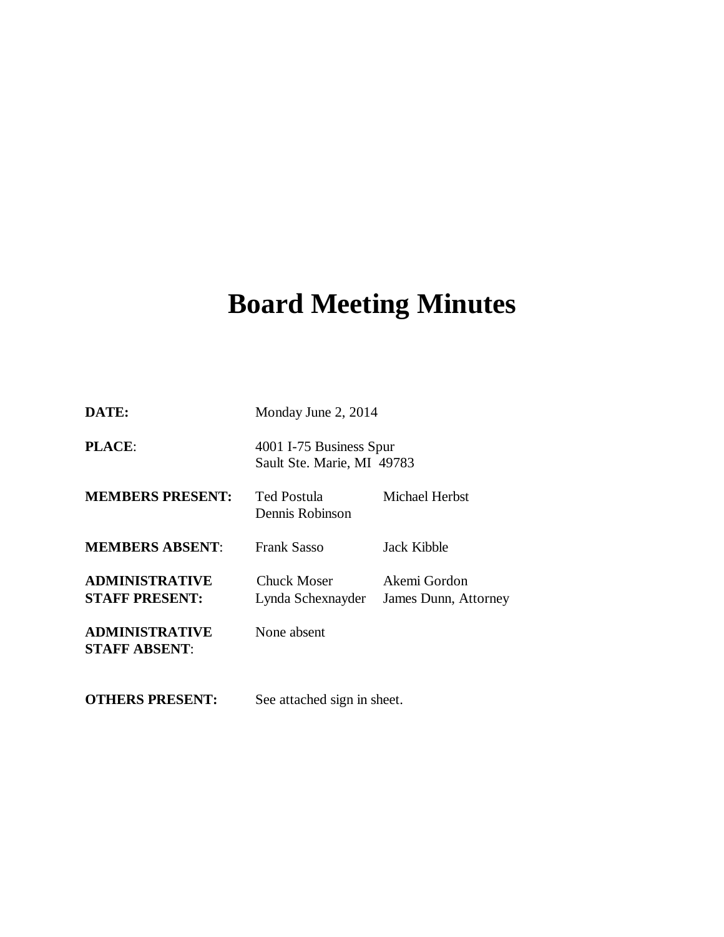# **Board Meeting Minutes**

| DATE:                                          | Monday June 2, 2014                                   |                                      |
|------------------------------------------------|-------------------------------------------------------|--------------------------------------|
| <b>PLACE:</b>                                  | 4001 I-75 Business Spur<br>Sault Ste. Marie, MI 49783 |                                      |
| <b>MEMBERS PRESENT:</b>                        | Ted Postula<br>Dennis Robinson                        | <b>Michael Herbst</b>                |
| <b>MEMBERS ABSENT:</b>                         | Frank Sasso                                           | Jack Kibble                          |
| <b>ADMINISTRATIVE</b><br><b>STAFF PRESENT:</b> | <b>Chuck Moser</b><br>Lynda Schexnayder               | Akemi Gordon<br>James Dunn, Attorney |
| <b>ADMINISTRATIVE</b><br><b>STAFF ABSENT:</b>  | None absent                                           |                                      |
| <b>OTHERS PRESENT:</b>                         | See attached sign in sheet.                           |                                      |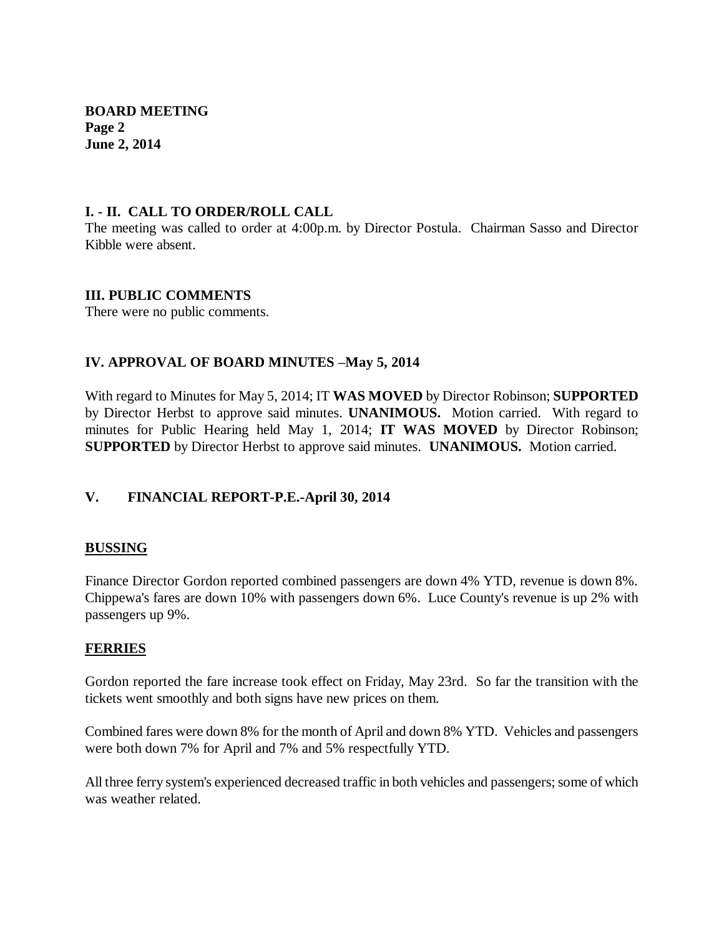**BOARD MEETING Page 2 June 2, 2014**

### **I. - II. CALL TO ORDER/ROLL CALL**

The meeting was called to order at 4:00p.m. by Director Postula. Chairman Sasso and Director Kibble were absent.

## **III. PUBLIC COMMENTS**

There were no public comments.

# **IV. APPROVAL OF BOARD MINUTES –May 5, 2014**

With regard to Minutes for May 5, 2014; IT **WAS MOVED** by Director Robinson; **SUPPORTED**  by Director Herbst to approve said minutes. **UNANIMOUS.** Motion carried. With regard to minutes for Public Hearing held May 1, 2014; **IT WAS MOVED** by Director Robinson; **SUPPORTED** by Director Herbst to approve said minutes. **UNANIMOUS.** Motion carried.

# **V. FINANCIAL REPORT-P.E.-April 30, 2014**

# **BUSSING**

Finance Director Gordon reported combined passengers are down 4% YTD, revenue is down 8%. Chippewa's fares are down 10% with passengers down 6%. Luce County's revenue is up 2% with passengers up 9%.

#### **FERRIES**

Gordon reported the fare increase took effect on Friday, May 23rd. So far the transition with the tickets went smoothly and both signs have new prices on them.

Combined fares were down 8% for the month of April and down 8% YTD. Vehicles and passengers were both down 7% for April and 7% and 5% respectfully YTD.

All three ferry system's experienced decreased traffic in both vehicles and passengers; some of which was weather related.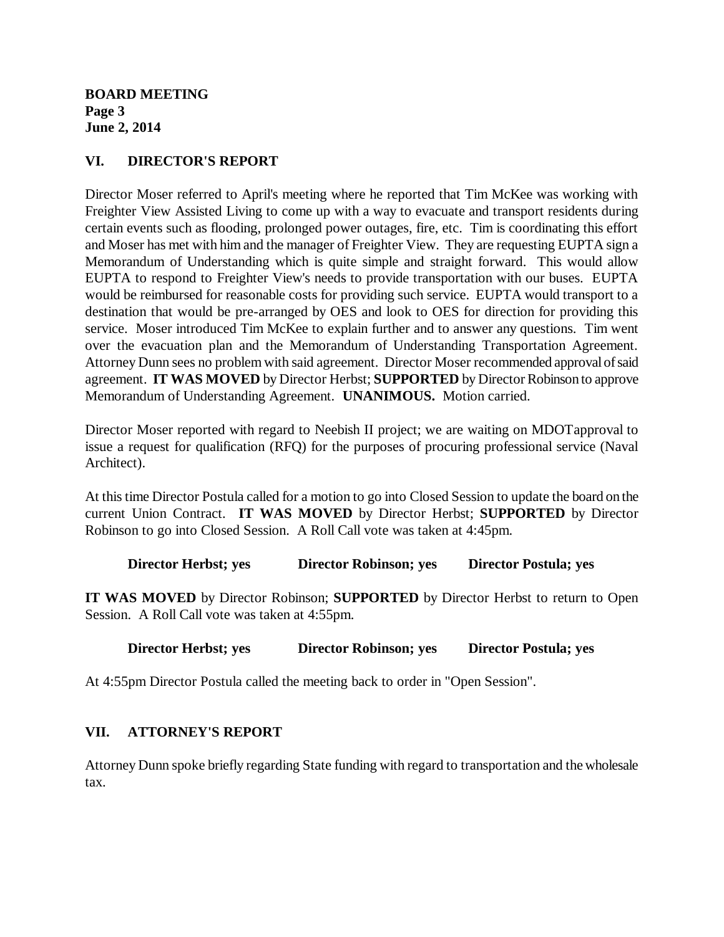**BOARD MEETING Page 3 June 2, 2014**

# **VI. DIRECTOR'S REPORT**

Director Moser referred to April's meeting where he reported that Tim McKee was working with Freighter View Assisted Living to come up with a way to evacuate and transport residents during certain events such as flooding, prolonged power outages, fire, etc. Tim is coordinating this effort and Moser has met with him and the manager of Freighter View. They are requesting EUPTA sign a Memorandum of Understanding which is quite simple and straight forward. This would allow EUPTA to respond to Freighter View's needs to provide transportation with our buses. EUPTA would be reimbursed for reasonable costs for providing such service. EUPTA would transport to a destination that would be pre-arranged by OES and look to OES for direction for providing this service. Moser introduced Tim McKee to explain further and to answer any questions. Tim went over the evacuation plan and the Memorandum of Understanding Transportation Agreement. Attorney Dunn sees no problem with said agreement. Director Moser recommended approval of said agreement. **IT WAS MOVED** by Director Herbst; **SUPPORTED** by Director Robinson to approve Memorandum of Understanding Agreement. **UNANIMOUS.** Motion carried.

Director Moser reported with regard to Neebish II project; we are waiting on MDOTapproval to issue a request for qualification (RFQ) for the purposes of procuring professional service (Naval Architect).

At this time Director Postula called for a motion to go into Closed Session to update the board on the current Union Contract. **IT WAS MOVED** by Director Herbst; **SUPPORTED** by Director Robinson to go into Closed Session. A Roll Call vote was taken at 4:45pm.

**Director Herbst; yes Director Robinson; yes Director Postula; yes**

**IT WAS MOVED** by Director Robinson; **SUPPORTED** by Director Herbst to return to Open Session. A Roll Call vote was taken at 4:55pm.

# **Director Herbst; yes Director Robinson; yes Director Postula; yes**

At 4:55pm Director Postula called the meeting back to order in "Open Session".

# **VII. ATTORNEY'S REPORT**

Attorney Dunn spoke briefly regarding State funding with regard to transportation and the wholesale tax.